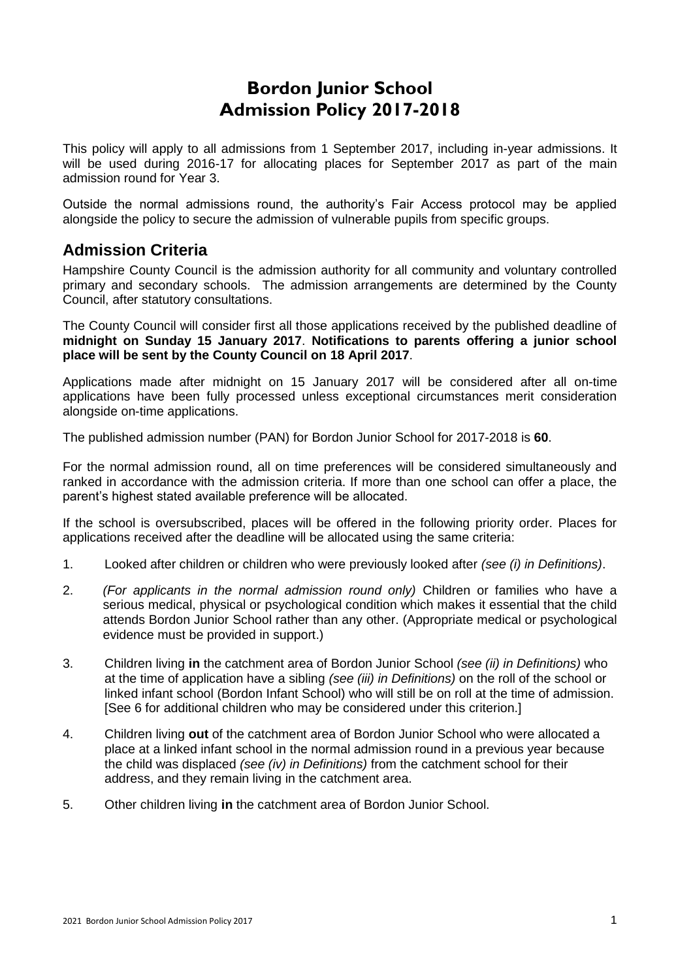# **Bordon Junior School Admission Policy 2017-2018**

This policy will apply to all admissions from 1 September 2017, including in-year admissions. It will be used during 2016-17 for allocating places for September 2017 as part of the main admission round for Year 3.

Outside the normal admissions round, the authority's Fair Access protocol may be applied alongside the policy to secure the admission of vulnerable pupils from specific groups.

# **Admission Criteria**

Hampshire County Council is the admission authority for all community and voluntary controlled primary and secondary schools. The admission arrangements are determined by the County Council, after statutory consultations.

The County Council will consider first all those applications received by the published deadline of **midnight on Sunday 15 January 2017**. **Notifications to parents offering a junior school place will be sent by the County Council on 18 April 2017**.

Applications made after midnight on 15 January 2017 will be considered after all on-time applications have been fully processed unless exceptional circumstances merit consideration alongside on-time applications.

The published admission number (PAN) for Bordon Junior School for 2017-2018 is **60**.

For the normal admission round, all on time preferences will be considered simultaneously and ranked in accordance with the admission criteria. If more than one school can offer a place, the parent's highest stated available preference will be allocated.

If the school is oversubscribed, places will be offered in the following priority order. Places for applications received after the deadline will be allocated using the same criteria:

- 1. Looked after children or children who were previously looked after *(see (i) in Definitions)*.
- 2. *(For applicants in the normal admission round only)* Children or families who have a serious medical, physical or psychological condition which makes it essential that the child attends Bordon Junior School rather than any other. (Appropriate medical or psychological evidence must be provided in support.)
- 3. Children living **in** the catchment area of Bordon Junior School *(see (ii) in Definitions)* who at the time of application have a sibling *(see (iii) in Definitions)* on the roll of the school or linked infant school (Bordon Infant School) who will still be on roll at the time of admission. [See 6 for additional children who may be considered under this criterion.]
- 4. Children living **out** of the catchment area of Bordon Junior School who were allocated a place at a linked infant school in the normal admission round in a previous year because the child was displaced *(see (iv) in Definitions)* from the catchment school for their address, and they remain living in the catchment area.
- 5. Other children living **in** the catchment area of Bordon Junior School.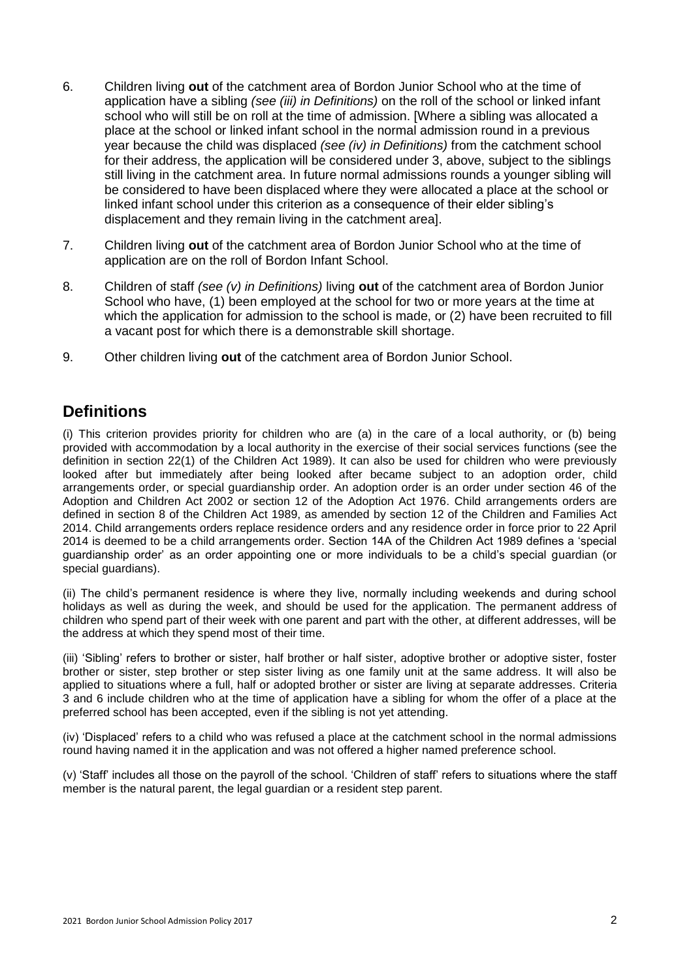- 6. Children living **out** of the catchment area of Bordon Junior School who at the time of application have a sibling *(see (iii) in Definitions)* on the roll of the school or linked infant school who will still be on roll at the time of admission. [Where a sibling was allocated a place at the school or linked infant school in the normal admission round in a previous year because the child was displaced *(see (iv) in Definitions)* from the catchment school for their address, the application will be considered under 3, above, subject to the siblings still living in the catchment area. In future normal admissions rounds a younger sibling will be considered to have been displaced where they were allocated a place at the school or linked infant school under this criterion as a consequence of their elder sibling's displacement and they remain living in the catchment area].
- 7. Children living **out** of the catchment area of Bordon Junior School who at the time of application are on the roll of Bordon Infant School.
- 8. Children of staff *(see (v) in Definitions)* living **out** of the catchment area of Bordon Junior School who have, (1) been employed at the school for two or more years at the time at which the application for admission to the school is made, or (2) have been recruited to fill a vacant post for which there is a demonstrable skill shortage.
- 9. Other children living **out** of the catchment area of Bordon Junior School.

# **Definitions**

(i) This criterion provides priority for children who are (a) in the care of a local authority, or (b) being provided with accommodation by a local authority in the exercise of their social services functions (see the definition in section 22(1) of the Children Act 1989). It can also be used for children who were previously looked after but immediately after being looked after became subject to an adoption order, child arrangements order, or special guardianship order. An adoption order is an order under section 46 of the Adoption and Children Act 2002 or section 12 of the Adoption Act 1976. Child arrangements orders are defined in section 8 of the Children Act 1989, as amended by section 12 of the Children and Families Act 2014. Child arrangements orders replace residence orders and any residence order in force prior to 22 April 2014 is deemed to be a child arrangements order. Section 14A of the Children Act 1989 defines a 'special guardianship order' as an order appointing one or more individuals to be a child's special guardian (or special quardians).

(ii) The child's permanent residence is where they live, normally including weekends and during school holidays as well as during the week, and should be used for the application. The permanent address of children who spend part of their week with one parent and part with the other, at different addresses, will be the address at which they spend most of their time.

(iii) 'Sibling' refers to brother or sister, half brother or half sister, adoptive brother or adoptive sister, foster brother or sister, step brother or step sister living as one family unit at the same address. It will also be applied to situations where a full, half or adopted brother or sister are living at separate addresses. Criteria 3 and 6 include children who at the time of application have a sibling for whom the offer of a place at the preferred school has been accepted, even if the sibling is not yet attending.

(iv) 'Displaced' refers to a child who was refused a place at the catchment school in the normal admissions round having named it in the application and was not offered a higher named preference school.

(v) 'Staff' includes all those on the payroll of the school. 'Children of staff' refers to situations where the staff member is the natural parent, the legal guardian or a resident step parent.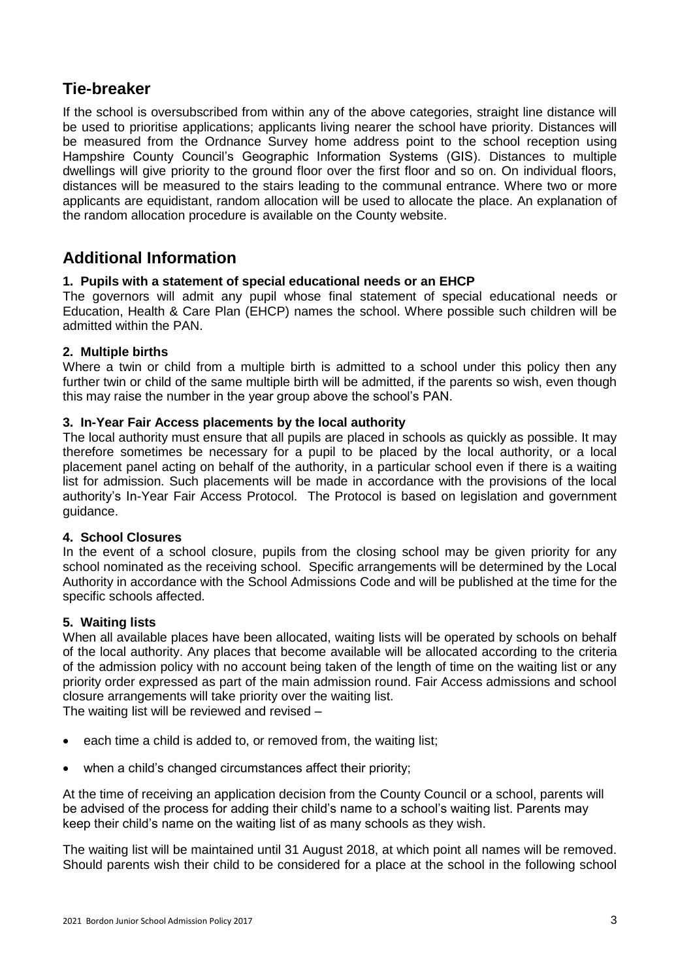# **Tie-breaker**

If the school is oversubscribed from within any of the above categories, straight line distance will be used to prioritise applications; applicants living nearer the school have priority. Distances will be measured from the Ordnance Survey home address point to the school reception using Hampshire County Council's Geographic Information Systems (GIS). Distances to multiple dwellings will give priority to the ground floor over the first floor and so on. On individual floors, distances will be measured to the stairs leading to the communal entrance. Where two or more applicants are equidistant, random allocation will be used to allocate the place. An explanation of the random allocation procedure is available on the County website.

# **Additional Information**

## **1. Pupils with a statement of special educational needs or an EHCP**

The governors will admit any pupil whose final statement of special educational needs or Education, Health & Care Plan (EHCP) names the school. Where possible such children will be admitted within the PAN.

# **2. Multiple births**

Where a twin or child from a multiple birth is admitted to a school under this policy then any further twin or child of the same multiple birth will be admitted, if the parents so wish, even though this may raise the number in the year group above the school's PAN.

## **3. In-Year Fair Access placements by the local authority**

The local authority must ensure that all pupils are placed in schools as quickly as possible. It may therefore sometimes be necessary for a pupil to be placed by the local authority, or a local placement panel acting on behalf of the authority, in a particular school even if there is a waiting list for admission. Such placements will be made in accordance with the provisions of the local authority's In-Year Fair Access Protocol. The Protocol is based on legislation and government guidance.

## **4. School Closures**

In the event of a school closure, pupils from the closing school may be given priority for any school nominated as the receiving school. Specific arrangements will be determined by the Local Authority in accordance with the School Admissions Code and will be published at the time for the specific schools affected.

## **5. Waiting lists**

When all available places have been allocated, waiting lists will be operated by schools on behalf of the local authority. Any places that become available will be allocated according to the criteria of the admission policy with no account being taken of the length of time on the waiting list or any priority order expressed as part of the main admission round. Fair Access admissions and school closure arrangements will take priority over the waiting list.

The waiting list will be reviewed and revised –

- each time a child is added to, or removed from, the waiting list;
- when a child's changed circumstances affect their priority;

At the time of receiving an application decision from the County Council or a school, parents will be advised of the process for adding their child's name to a school's waiting list. Parents may keep their child's name on the waiting list of as many schools as they wish.

The waiting list will be maintained until 31 August 2018, at which point all names will be removed. Should parents wish their child to be considered for a place at the school in the following school